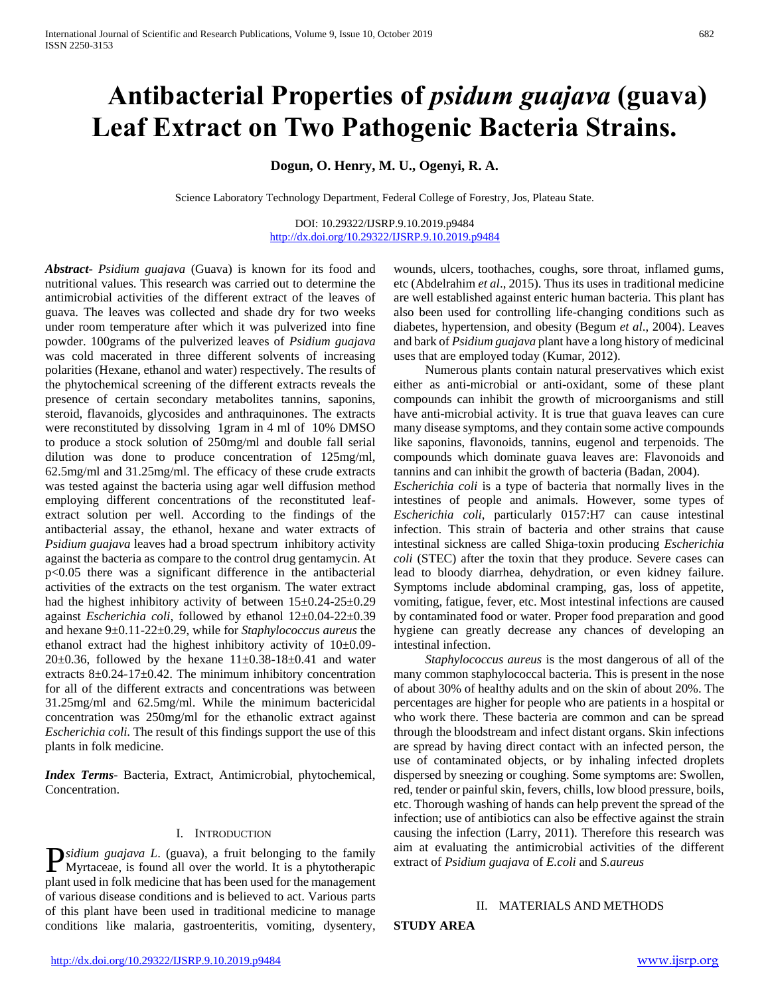# **Antibacterial Properties of** *psidum guajava* **(guava) Leaf Extract on Two Pathogenic Bacteria Strains.**

# **Dogun, O. Henry, M. U., Ogenyi, R. A.**

Science Laboratory Technology Department, Federal College of Forestry, Jos, Plateau State.

DOI: 10.29322/IJSRP.9.10.2019.p9484 <http://dx.doi.org/10.29322/IJSRP.9.10.2019.p9484>

*Abstract***-** *Psidium guajava* (Guava) is known for its food and nutritional values. This research was carried out to determine the antimicrobial activities of the different extract of the leaves of guava. The leaves was collected and shade dry for two weeks under room temperature after which it was pulverized into fine powder. 100grams of the pulverized leaves of *Psidium guajava*  was cold macerated in three different solvents of increasing polarities (Hexane, ethanol and water) respectively. The results of the phytochemical screening of the different extracts reveals the presence of certain secondary metabolites tannins, saponins, steroid, flavanoids, glycosides and anthraquinones. The extracts were reconstituted by dissolving 1gram in 4 ml of 10% DMSO to produce a stock solution of 250mg/ml and double fall serial dilution was done to produce concentration of 125mg/ml, 62.5mg/ml and 31.25mg/ml. The efficacy of these crude extracts was tested against the bacteria using agar well diffusion method employing different concentrations of the reconstituted leafextract solution per well. According to the findings of the antibacterial assay, the ethanol, hexane and water extracts of *Psidium guajava* leaves had a broad spectrum inhibitory activity against the bacteria as compare to the control drug gentamycin. At p<0.05 there was a significant difference in the antibacterial activities of the extracts on the test organism. The water extract had the highest inhibitory activity of between  $15\pm0.24-25\pm0.29$ against *Escherichia coli*, followed by ethanol 12±0.04-22±0.39 and hexane 9±0.11-22±0.29, while for *Staphylococcus aureus* the ethanol extract had the highest inhibitory activity of 10±0.09-  $20\pm0.36$ , followed by the hexane  $11\pm0.38-18\pm0.41$  and water extracts  $8\pm0.24$ -17 $\pm0.42$ . The minimum inhibitory concentration for all of the different extracts and concentrations was between 31.25mg/ml and 62.5mg/ml. While the minimum bactericidal concentration was 250mg/ml for the ethanolic extract against *Escherichia coli*. The result of this findings support the use of this plants in folk medicine.

*Index Terms*- Bacteria, Extract, Antimicrobial, phytochemical, Concentration.

#### I. INTRODUCTION

*sidium guajava L*. (guava), a fruit belonging to the family **P**sidium guajava L. (guava), a fruit belonging to the family Myrtaceae, is found all over the world. It is a phytotherapic plant used in folk medicine that has been used for the management of various disease conditions and is believed to act. Various parts of this plant have been used in traditional medicine to manage conditions like malaria, gastroenteritis, vomiting, dysentery,

wounds, ulcers, toothaches, coughs, sore throat, inflamed gums, etc (Abdelrahim *et al*., 2015). Thus its uses in traditional medicine are well established against enteric human bacteria. This plant has also been used for controlling life-changing conditions such as diabetes, hypertension, and obesity (Begum *et al*., 2004). Leaves and bark of *Psidium guajava* plant have a long history of medicinal uses that are employed today (Kumar, 2012).

 Numerous plants contain natural preservatives which exist either as anti-microbial or anti-oxidant, some of these plant compounds can inhibit the growth of microorganisms and still have anti-microbial activity. It is true that guava leaves can cure many disease symptoms, and they contain some active compounds like saponins, flavonoids, tannins, eugenol and terpenoids. The compounds which dominate guava leaves are: Flavonoids and tannins and can inhibit the growth of bacteria (Badan, 2004).

*Escherichia coli* is a type of bacteria that normally lives in the intestines of people and animals. However, some types of *Escherichia coli*, particularly 0157:H7 can cause intestinal infection. This strain of bacteria and other strains that cause intestinal sickness are called Shiga-toxin producing *Escherichia coli* (STEC) after the toxin that they produce. Severe cases can lead to bloody diarrhea, dehydration, or even kidney failure. Symptoms include abdominal cramping, gas, loss of appetite, vomiting, fatigue, fever, etc. Most intestinal infections are caused by contaminated food or water. Proper food preparation and good hygiene can greatly decrease any chances of developing an intestinal infection.

 *Staphylococcus aureus* is the most dangerous of all of the many common staphylococcal bacteria. This is present in the nose of about 30% of healthy adults and on the skin of about 20%. The percentages are higher for people who are patients in a hospital or who work there. These bacteria are common and can be spread through the bloodstream and infect distant organs. Skin infections are spread by having direct contact with an infected person, the use of contaminated objects, or by inhaling infected droplets dispersed by sneezing or coughing. Some symptoms are: Swollen, red, tender or painful skin, fevers, chills, low blood pressure, boils, etc. Thorough washing of hands can help prevent the spread of the infection; use of antibiotics can also be effective against the strain causing the infection (Larry, 2011). Therefore this research was aim at evaluating the antimicrobial activities of the different extract of *Psidium guajava* of *E.coli* and *S.aureus*

## II. MATERIALS AND METHODS

**STUDY AREA**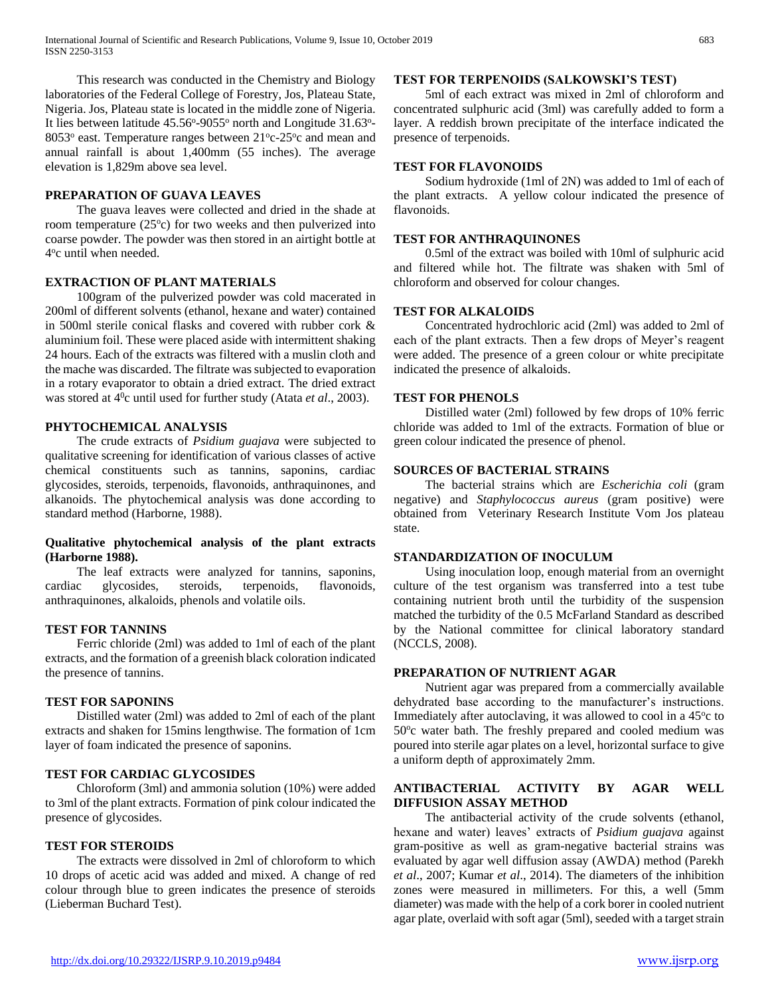This research was conducted in the Chemistry and Biology laboratories of the Federal College of Forestry, Jos, Plateau State, Nigeria. Jos, Plateau state is located in the middle zone of Nigeria. It lies between latitude 45.56°-9055° north and Longitude 31.63°-8053° east. Temperature ranges between 21°c-25°c and mean and annual rainfall is about 1,400mm (55 inches). The average elevation is 1,829m above sea level.

#### **PREPARATION OF GUAVA LEAVES**

 The guava leaves were collected and dried in the shade at room temperature (25°c) for two weeks and then pulverized into coarse powder. The powder was then stored in an airtight bottle at 4 o c until when needed.

## **EXTRACTION OF PLANT MATERIALS**

 100gram of the pulverized powder was cold macerated in 200ml of different solvents (ethanol, hexane and water) contained in 500ml sterile conical flasks and covered with rubber cork & aluminium foil. These were placed aside with intermittent shaking 24 hours. Each of the extracts was filtered with a muslin cloth and the mache was discarded. The filtrate was subjected to evaporation in a rotary evaporator to obtain a dried extract. The dried extract was stored at 4<sup>0</sup>c until used for further study (Atata *et al.*, 2003).

#### **PHYTOCHEMICAL ANALYSIS**

 The crude extracts of *Psidium guajava* were subjected to qualitative screening for identification of various classes of active chemical constituents such as tannins, saponins, cardiac glycosides, steroids, terpenoids, flavonoids, anthraquinones, and alkanoids. The phytochemical analysis was done according to standard method (Harborne, 1988).

## **Qualitative phytochemical analysis of the plant extracts (Harborne 1988).**

 The leaf extracts were analyzed for tannins, saponins, cardiac glycosides, steroids, terpenoids, flavonoids, anthraquinones, alkaloids, phenols and volatile oils.

## **TEST FOR TANNINS**

 Ferric chloride (2ml) was added to 1ml of each of the plant extracts, and the formation of a greenish black coloration indicated the presence of tannins.

#### **TEST FOR SAPONINS**

 Distilled water (2ml) was added to 2ml of each of the plant extracts and shaken for 15mins lengthwise. The formation of 1cm layer of foam indicated the presence of saponins.

## **TEST FOR CARDIAC GLYCOSIDES**

 Chloroform (3ml) and ammonia solution (10%) were added to 3ml of the plant extracts. Formation of pink colour indicated the presence of glycosides.

#### **TEST FOR STEROIDS**

 The extracts were dissolved in 2ml of chloroform to which 10 drops of acetic acid was added and mixed. A change of red colour through blue to green indicates the presence of steroids (Lieberman Buchard Test).

#### **TEST FOR TERPENOIDS (SALKOWSKI'S TEST)**

 5ml of each extract was mixed in 2ml of chloroform and concentrated sulphuric acid (3ml) was carefully added to form a layer. A reddish brown precipitate of the interface indicated the presence of terpenoids.

## **TEST FOR FLAVONOIDS**

 Sodium hydroxide (1ml of 2N) was added to 1ml of each of the plant extracts. A yellow colour indicated the presence of flavonoids.

#### **TEST FOR ANTHRAQUINONES**

 0.5ml of the extract was boiled with 10ml of sulphuric acid and filtered while hot. The filtrate was shaken with 5ml of chloroform and observed for colour changes.

## **TEST FOR ALKALOIDS**

 Concentrated hydrochloric acid (2ml) was added to 2ml of each of the plant extracts. Then a few drops of Meyer's reagent were added. The presence of a green colour or white precipitate indicated the presence of alkaloids.

#### **TEST FOR PHENOLS**

 Distilled water (2ml) followed by few drops of 10% ferric chloride was added to 1ml of the extracts. Formation of blue or green colour indicated the presence of phenol.

## **SOURCES OF BACTERIAL STRAINS**

 The bacterial strains which are *Escherichia coli* (gram negative) and *Staphylococcus aureus* (gram positive) were obtained from Veterinary Research Institute Vom Jos plateau state.

#### **STANDARDIZATION OF INOCULUM**

 Using inoculation loop, enough material from an overnight culture of the test organism was transferred into a test tube containing nutrient broth until the turbidity of the suspension matched the turbidity of the 0.5 McFarland Standard as described by the National committee for clinical laboratory standard (NCCLS, 2008).

## **PREPARATION OF NUTRIENT AGAR**

 Nutrient agar was prepared from a commercially available dehydrated base according to the manufacturer's instructions. Immediately after autoclaving, it was allowed to cool in a 45<sup>o</sup>c to 50°c water bath. The freshly prepared and cooled medium was poured into sterile agar plates on a level, horizontal surface to give a uniform depth of approximately 2mm.

## **ANTIBACTERIAL ACTIVITY BY AGAR WELL DIFFUSION ASSAY METHOD**

 The antibacterial activity of the crude solvents (ethanol, hexane and water) leaves' extracts of *Psidium guajava* against gram-positive as well as gram-negative bacterial strains was evaluated by agar well diffusion assay (AWDA) method (Parekh *et al*., 2007; Kumar *et al*., 2014). The diameters of the inhibition zones were measured in millimeters. For this, a well (5mm diameter) was made with the help of a cork borer in cooled nutrient agar plate, overlaid with soft agar (5ml), seeded with a target strain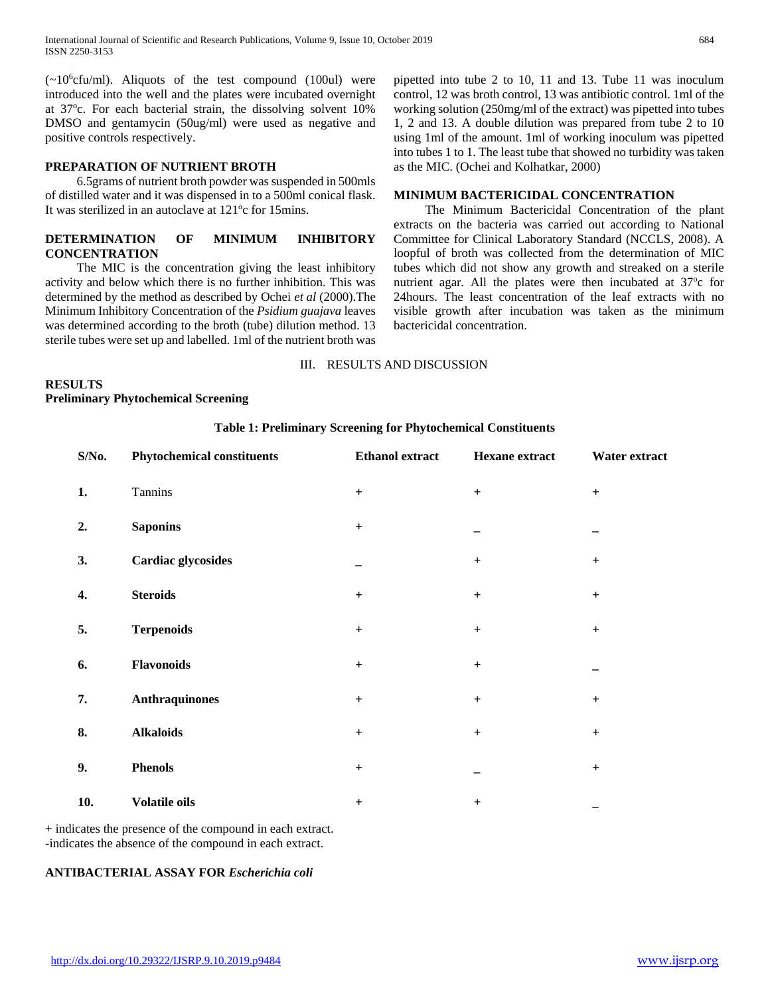$(-10<sup>6</sup>$ cfu/ml). Aliquots of the test compound (100ul) were introduced into the well and the plates were incubated overnight at 37°c. For each bacterial strain, the dissolving solvent 10% DMSO and gentamycin (50ug/ml) were used as negative and positive controls respectively.

## **PREPARATION OF NUTRIENT BROTH**

 6.5grams of nutrient broth powder was suspended in 500mls of distilled water and it was dispensed in to a 500ml conical flask. It was sterilized in an autoclave at 121°c for 15mins.

## **DETERMINATION OF MINIMUM INHIBITORY CONCENTRATION**

 The MIC is the concentration giving the least inhibitory activity and below which there is no further inhibition. This was determined by the method as described by Ochei *et al* (2000).The Minimum Inhibitory Concentration of the *Psidium guajava* leaves was determined according to the broth (tube) dilution method. 13 sterile tubes were set up and labelled. 1ml of the nutrient broth was pipetted into tube 2 to 10, 11 and 13. Tube 11 was inoculum control, 12 was broth control, 13 was antibiotic control. 1ml of the working solution (250mg/ml of the extract) was pipetted into tubes 1, 2 and 13. A double dilution was prepared from tube 2 to 10 using 1ml of the amount. 1ml of working inoculum was pipetted into tubes 1 to 1. The least tube that showed no turbidity was taken as the MIC. (Ochei and Kolhatkar, 2000)

#### **MINIMUM BACTERICIDAL CONCENTRATION**

 The Minimum Bactericidal Concentration of the plant extracts on the bacteria was carried out according to National Committee for Clinical Laboratory Standard (NCCLS, 2008). A loopful of broth was collected from the determination of MIC tubes which did not show any growth and streaked on a sterile nutrient agar. All the plates were then incubated at 37°c for 24hours. The least concentration of the leaf extracts with no visible growth after incubation was taken as the minimum bactericidal concentration.

## III. RESULTS AND DISCUSSION

## **RESULTS**

**Preliminary Phytochemical Screening**

## **Table 1: Preliminary Screening for Phytochemical Constituents**

| S/No. | <b>Phytochemical constituents</b> | <b>Ethanol</b> extract | Hexane extract                   | Water extract                    |
|-------|-----------------------------------|------------------------|----------------------------------|----------------------------------|
| 1.    | Tannins                           | $+$                    | $+$                              | $+$                              |
| 2.    | <b>Saponins</b>                   | $\ddot{}$              |                                  |                                  |
| 3.    | <b>Cardiac glycosides</b>         |                        | $+$                              | $+$                              |
| 4.    | <b>Steroids</b>                   | $\ddot{}$              | $+$                              | $\begin{array}{c} + \end{array}$ |
| 5.    | <b>Terpenoids</b>                 | $\ddot{}$              | $+$                              | $\ddot{}$                        |
| 6.    | Flavonoids                        | $+$                    | $+$                              |                                  |
| 7.    | <b>Anthraquinones</b>             | $\qquad \qquad +$      | $\begin{array}{c} + \end{array}$ | $+$                              |
| 8.    | <b>Alkaloids</b>                  | $\qquad \qquad +$      | $+$                              | $+$                              |
| 9.    | <b>Phenols</b>                    | $\ddot{}$              |                                  | $\ddot{}$                        |
| 10.   | Volatile oils                     | $+$                    | $\ddot{}$                        | $\overline{\phantom{0}}$         |

+ indicates the presence of the compound in each extract. -indicates the absence of the compound in each extract.

## **ANTIBACTERIAL ASSAY FOR** *Escherichia coli*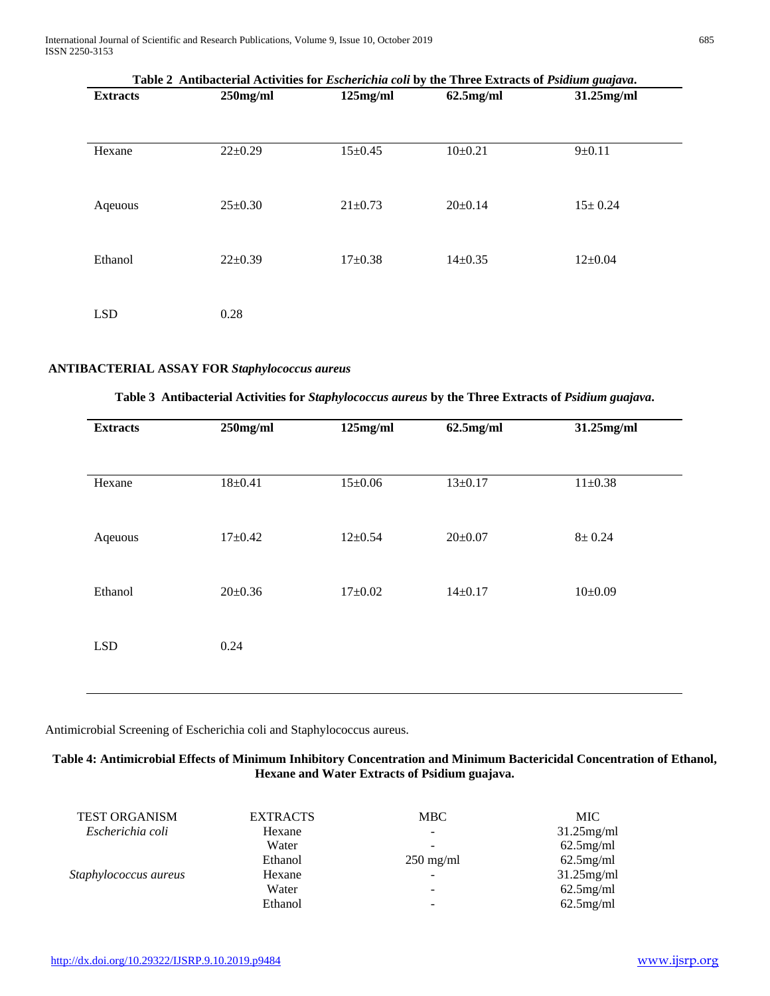International Journal of Scientific and Research Publications, Volume 9, Issue 10, October 2019 685 ISSN 2250-3153

| Table 2 Antibacterial Activities for <i>Escherichia coli</i> by the Three Extracts of <i>Psidium guajava</i> . |               |               |               |               |
|----------------------------------------------------------------------------------------------------------------|---------------|---------------|---------------|---------------|
| <b>Extracts</b>                                                                                                | $250$ mg/ml   | $125$ mg/ml   | $62.5$ mg/ml  | $31.25$ mg/ml |
|                                                                                                                |               |               |               |               |
| Hexane                                                                                                         | $22 \pm 0.29$ | $15 \pm 0.45$ | $10\pm0.21$   | $9 \pm 0.11$  |
| Aqeuous                                                                                                        | $25 \pm 0.30$ | $21 \pm 0.73$ | $20 \pm 0.14$ | $15 \pm 0.24$ |
| Ethanol                                                                                                        | $22 \pm 0.39$ | $17 \pm 0.38$ | $14\pm0.35$   | $12 \pm 0.04$ |
| <b>LSD</b>                                                                                                     | 0.28          |               |               |               |

## **ANTIBACTERIAL ASSAY FOR** *Staphylococcus aureus*

|  |  |  |  | Table 3 Antibacterial Activities for Staphylococcus aureus by the Three Extracts of Psidium guajava. |  |
|--|--|--|--|------------------------------------------------------------------------------------------------------|--|
|--|--|--|--|------------------------------------------------------------------------------------------------------|--|

| <b>Extracts</b> | $250$ mg/ml   | $125$ mg/ml   | $62.5$ mg/ml  | 31.25mg/ml    |
|-----------------|---------------|---------------|---------------|---------------|
|                 |               |               |               |               |
| Hexane          | $18 + 0.41$   | $15 \pm 0.06$ | $13 \pm 0.17$ | $11 \pm 0.38$ |
|                 |               |               |               |               |
| Aqeuous         | $17+0.42$     | $12 \pm 0.54$ | $20 \pm 0.07$ | $8 + 0.24$    |
|                 |               |               |               |               |
| Ethanol         | $20 \pm 0.36$ | $17+0.02$     | $14 \pm 0.17$ | $10\pm0.09$   |
| <b>LSD</b>      | 0.24          |               |               |               |
|                 |               |               |               |               |
|                 |               |               |               |               |

Antimicrobial Screening of Escherichia coli and Staphylococcus aureus.

## **Table 4: Antimicrobial Effects of Minimum Inhibitory Concentration and Minimum Bactericidal Concentration of Ethanol, Hexane and Water Extracts of Psidium guajava.**

| <b>TEST ORGANISM</b>  | <b>EXTRACTS</b> | <b>MBC</b>                   | MIC           |
|-----------------------|-----------------|------------------------------|---------------|
| Escherichia coli      | Hexane          | $\overline{\phantom{a}}$     | $31.25$ mg/ml |
|                       | Water           | $\qquad \qquad \blacksquare$ | $62.5$ mg/ml  |
|                       | Ethanol         | $250 \text{ mg/ml}$          | $62.5$ mg/ml  |
| Staphylococcus aureus | Hexane          | $\qquad \qquad \blacksquare$ | $31.25$ mg/ml |
|                       | Water           | $\overline{\phantom{a}}$     | $62.5$ mg/ml  |
|                       | Ethanol         | -                            | $62.5$ mg/ml  |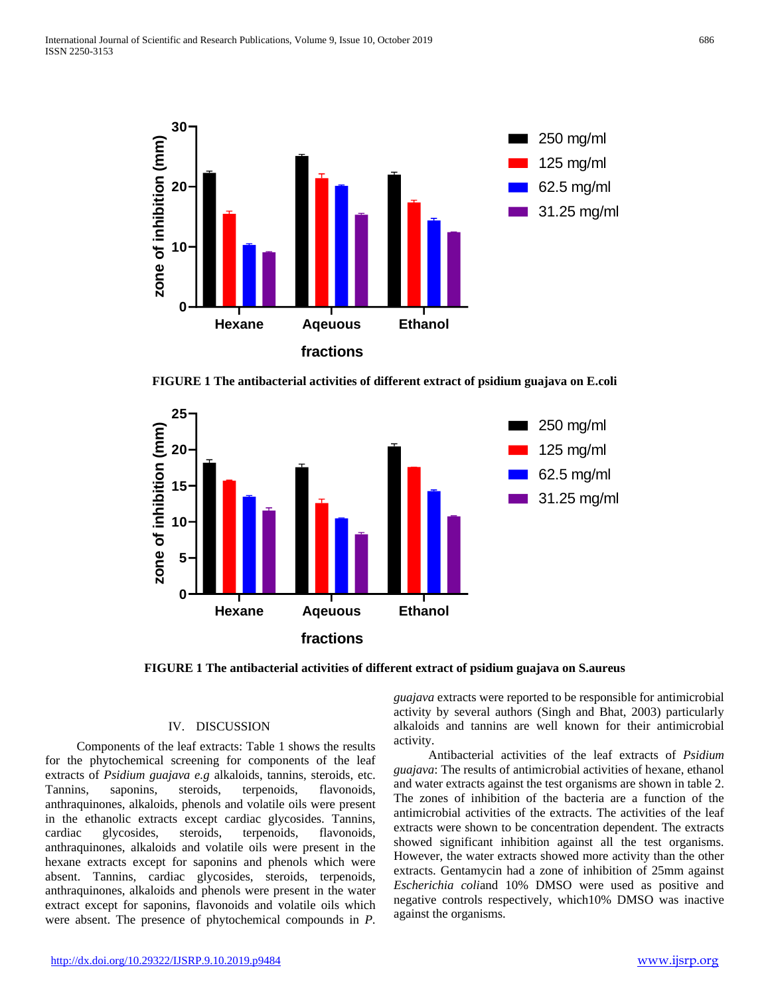

**FIGURE 1 The antibacterial activities of different extract of psidium guajava on E.coli**



**FIGURE 1 The antibacterial activities of different extract of psidium guajava on S.aureus**

## IV. DISCUSSION

 Components of the leaf extracts: Table 1 shows the results for the phytochemical screening for components of the leaf extracts of *Psidium guajava e.g* alkaloids, tannins, steroids, etc. Tannins, saponins, steroids, terpenoids, flavonoids, anthraquinones, alkaloids, phenols and volatile oils were present in the ethanolic extracts except cardiac glycosides. Tannins, cardiac glycosides, steroids, terpenoids, flavonoids, anthraquinones, alkaloids and volatile oils were present in the hexane extracts except for saponins and phenols which were absent. Tannins, cardiac glycosides, steroids, terpenoids, anthraquinones, alkaloids and phenols were present in the water extract except for saponins, flavonoids and volatile oils which were absent. The presence of phytochemical compounds in *P.* 

*guajava* extracts were reported to be responsible for antimicrobial activity by several authors (Singh and Bhat, 2003) particularly alkaloids and tannins are well known for their antimicrobial activity.

 Antibacterial activities of the leaf extracts of *Psidium guajava*: The results of antimicrobial activities of hexane, ethanol and water extracts against the test organisms are shown in table 2. The zones of inhibition of the bacteria are a function of the antimicrobial activities of the extracts. The activities of the leaf extracts were shown to be concentration dependent. The extracts showed significant inhibition against all the test organisms. However, the water extracts showed more activity than the other extracts. Gentamycin had a zone of inhibition of 25mm against *Escherichia coli*and 10% DMSO were used as positive and negative controls respectively, which10% DMSO was inactive against the organisms.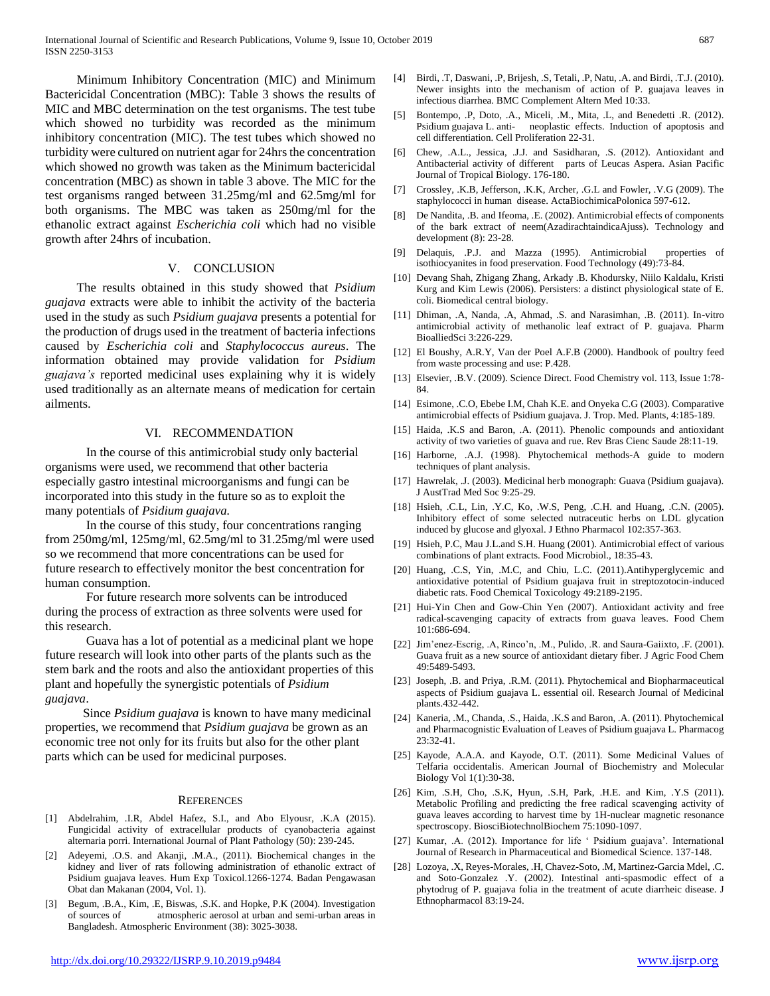Minimum Inhibitory Concentration (MIC) and Minimum Bactericidal Concentration (MBC): Table 3 shows the results of MIC and MBC determination on the test organisms. The test tube which showed no turbidity was recorded as the minimum inhibitory concentration (MIC). The test tubes which showed no turbidity were cultured on nutrient agar for 24hrs the concentration which showed no growth was taken as the Minimum bactericidal concentration (MBC) as shown in table 3 above. The MIC for the test organisms ranged between 31.25mg/ml and 62.5mg/ml for both organisms. The MBC was taken as 250mg/ml for the ethanolic extract against *Escherichia coli* which had no visible growth after 24hrs of incubation.

#### V. CONCLUSION

 The results obtained in this study showed that *Psidium guajava* extracts were able to inhibit the activity of the bacteria used in the study as such *Psidium guajava* presents a potential for the production of drugs used in the treatment of bacteria infections caused by *Escherichia coli* and *Staphylococcus aureus*. The information obtained may provide validation for *Psidium guajava's* reported medicinal uses explaining why it is widely used traditionally as an alternate means of medication for certain ailments.

#### VI. RECOMMENDATION

 In the course of this antimicrobial study only bacterial organisms were used, we recommend that other bacteria especially gastro intestinal microorganisms and fungi can be incorporated into this study in the future so as to exploit the many potentials of *Psidium guajava.*

 In the course of this study, four concentrations ranging from 250mg/ml, 125mg/ml, 62.5mg/ml to 31.25mg/ml were used so we recommend that more concentrations can be used for future research to effectively monitor the best concentration for human consumption.

 For future research more solvents can be introduced during the process of extraction as three solvents were used for this research.

 Guava has a lot of potential as a medicinal plant we hope future research will look into other parts of the plants such as the stem bark and the roots and also the antioxidant properties of this plant and hopefully the synergistic potentials of *Psidium guajava*.

 Since *Psidium guajava* is known to have many medicinal properties, we recommend that *Psidium guajava* be grown as an economic tree not only for its fruits but also for the other plant parts which can be used for medicinal purposes.

#### **REFERENCES**

- [1] Abdelrahim, .I.R, Abdel Hafez, S.I., and Abo Elyousr, .K.A (2015). Fungicidal activity of extracellular products of cyanobacteria against alternaria porri. International Journal of Plant Pathology (50): 239-245.
- [2] Adeyemi, .O.S. and Akanji, .M.A., (2011). Biochemical changes in the kidney and liver of rats following administration of ethanolic extract of Psidium guajava leaves. Hum Exp Toxicol.1266-1274. Badan Pengawasan Obat dan Makanan (2004, Vol. 1).
- [3] Begum, .B.A., Kim, .E, Biswas, .S.K. and Hopke, P.K (2004). Investigation of sources of atmospheric aerosol at urban and semi-urban areas in Bangladesh. Atmospheric Environment (38): 3025-3038.
- [5] Bontempo, .P, Doto, .A., Miceli, .M., Mita, .L, and Benedetti .R. (2012). Psidium guajava L. anti- neoplastic effects. Induction of apoptosis and cell differentiation. Cell Proliferation 22-31.
- [6] Chew, .A.L., Jessica, .J.J. and Sasidharan, .S. (2012). Antioxidant and Antibacterial activity of different parts of Leucas Aspera. Asian Pacific Journal of Tropical Biology. 176-180.
- [7] Crossley, .K.B, Jefferson, .K.K, Archer, .G.L and Fowler, .V.G (2009). The staphylococci in human disease. ActaBiochimicaPolonica 597-612.
- [8] De Nandita, .B. and Ifeoma, .E. (2002). Antimicrobial effects of components of the bark extract of neem(AzadirachtaindicaAjuss). Technology and development (8): 23-28.
- [9] Delaquis, .P.J. and Mazza (1995). Antimicrobial properties of isothiocyanites in food preservation. Food Technology (49):73-84.
- [10] Devang Shah, Zhigang Zhang, Arkady .B. Khodursky, Niilo Kaldalu, Kristi Kurg and Kim Lewis (2006). Persisters: a distinct physiological state of E. coli. Biomedical central biology.
- [11] Dhiman, .A, Nanda, .A, Ahmad, .S. and Narasimhan, .B. (2011). In-vitro antimicrobial activity of methanolic leaf extract of P. guajava. Pharm BioalliedSci 3:226-229.
- [12] El Boushy, A.R.Y, Van der Poel A.F.B (2000). Handbook of poultry feed from waste processing and use: P.428.
- [13] Elsevier, .B.V. (2009). Science Direct. Food Chemistry vol. 113, Issue 1:78- 84.
- [14] Esimone, .C.O, Ebebe I.M, Chah K.E. and Onyeka C.G (2003). Comparative antimicrobial effects of Psidium guajava. J. Trop. Med. Plants, 4:185-189.
- [15] Haida, .K.S and Baron, .A. (2011). Phenolic compounds and antioxidant activity of two varieties of guava and rue. Rev Bras Cienc Saude 28:11-19.
- [16] Harborne, .A.J. (1998). Phytochemical methods-A guide to modern techniques of plant analysis.
- [17] Hawrelak, J. (2003). Medicinal herb monograph: Guava (Psidium guajava). J AustTrad Med Soc 9:25-29.
- [18] Hsieh, .C.L, Lin, .Y.C, Ko, .W.S, Peng, .C.H. and Huang, .C.N. (2005). Inhibitory effect of some selected nutraceutic herbs on LDL glycation induced by glucose and glyoxal. J Ethno Pharmacol 102:357-363.
- [19] Hsieh, P.C, Mau J.L.and S.H. Huang (2001). Antimicrobial effect of various combinations of plant extracts. Food Microbiol., 18:35-43.
- [20] Huang, .C.S, Yin, .M.C, and Chiu, L.C. (2011).Antihyperglycemic and antioxidative potential of Psidium guajava fruit in streptozotocin-induced diabetic rats. Food Chemical Toxicology 49:2189-2195.
- [21] Hui-Yin Chen and Gow-Chin Yen (2007). Antioxidant activity and free radical-scavenging capacity of extracts from guava leaves. Food Chem 101:686-694.
- [22] Jim'enez-Escrig, .A, Rinco'n, .M., Pulido, .R. and Saura-Gaiixto, .F. (2001). Guava fruit as a new source of antioxidant dietary fiber. J Agric Food Chem 49:5489-5493.
- [23] Joseph, .B. and Priya, .R.M. (2011). Phytochemical and Biopharmaceutical aspects of Psidium guajava L. essential oil. Research Journal of Medicinal plants.432-442.
- [24] Kaneria, .M., Chanda, .S., Haida, .K.S and Baron, .A. (2011). Phytochemical and Pharmacognistic Evaluation of Leaves of Psidium guajava L. Pharmacog 23:32-41.
- [25] Kayode, A.A.A. and Kayode, O.T. (2011). Some Medicinal Values of Telfaria occidentalis. American Journal of Biochemistry and Molecular Biology Vol 1(1):30-38.
- [26] Kim, .S.H, Cho, .S.K, Hyun, .S.H, Park, .H.E. and Kim, .Y.S (2011). Metabolic Profiling and predicting the free radical scavenging activity of guava leaves according to harvest time by 1H-nuclear magnetic resonance spectroscopy. BiosciBiotechnolBiochem 75:1090-1097.
- [27] Kumar, .A. (2012). Importance for life ' Psidium guajava'. International Journal of Research in Pharmaceutical and Biomedical Science. 137-148.
- [28] Lozoya, .X, Reyes-Morales, .H, Chavez-Soto, .M, Martinez-Garcia Mdel, .C. and Soto-Gonzalez .Y. (2002). Intestinal anti-spasmodic effect of a phytodrug of P. guajava folia in the treatment of acute diarrheic disease. J Ethnopharmacol 83:19-24.